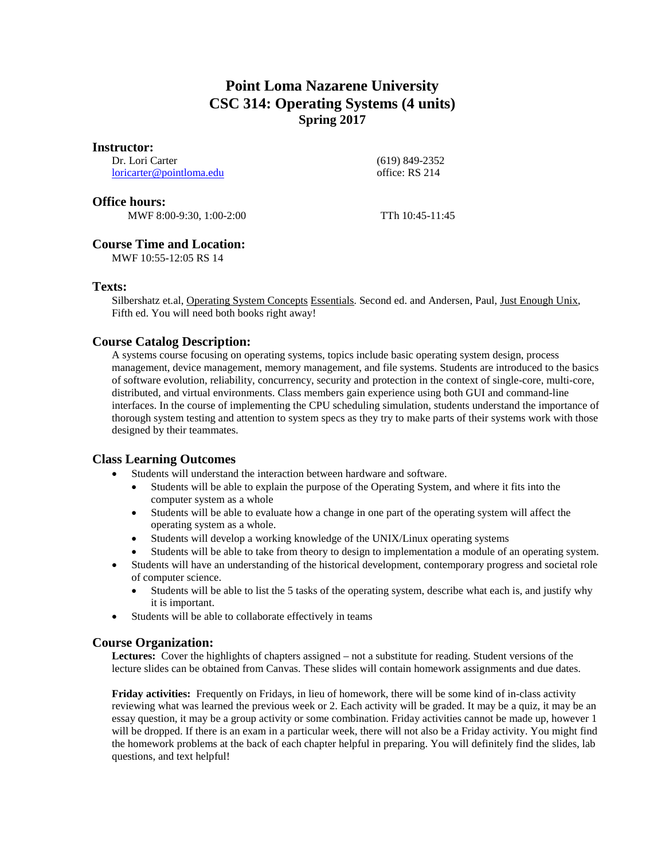# **Point Loma Nazarene University CSC 314: Operating Systems (4 units) Spring 2017**

#### **Instructor:**

Dr. Lori Carter [loricarter@pointloma.edu](mailto:loricarter@pointloma.edu)  (619) 849-2352 office: RS 214

#### **Office hours:**

MWF 8:00-9:30, 1:00-2:00 TTh 10:45-11:45

# **Course Time and Location:**

MWF 10:55-12:05 RS 14

## **Texts:**

Silbershatz et.al, Operating System Concepts Essentials. Second ed. and Andersen, Paul, Just Enough Unix, Fifth ed. You will need both books right away!

## **Course Catalog Description:**

A systems course focusing on operating systems, topics include basic operating system design, process management, device management, memory management, and file systems. Students are introduced to the basics of software evolution, reliability, concurrency, security and protection in the context of single-core, multi-core, distributed, and virtual environments. Class members gain experience using both GUI and command-line interfaces. In the course of implementing the CPU scheduling simulation, students understand the importance of thorough system testing and attention to system specs as they try to make parts of their systems work with those designed by their teammates.

# **Class Learning Outcomes**

- Students will understand the interaction between hardware and software.
	- Students will be able to explain the purpose of the Operating System, and where it fits into the computer system as a whole
	- Students will be able to evaluate how a change in one part of the operating system will affect the operating system as a whole.
	- Students will develop a working knowledge of the UNIX/Linux operating systems
	- Students will be able to take from theory to design to implementation a module of an operating system.
- Students will have an understanding of the historical development, contemporary progress and societal role of computer science.
	- Students will be able to list the 5 tasks of the operating system, describe what each is, and justify why it is important.
- Students will be able to collaborate effectively in teams

## **Course Organization:**

**Lectures:** Cover the highlights of chapters assigned – not a substitute for reading. Student versions of the lecture slides can be obtained from Canvas. These slides will contain homework assignments and due dates.

**Friday activities:** Frequently on Fridays, in lieu of homework, there will be some kind of in-class activity reviewing what was learned the previous week or 2. Each activity will be graded. It may be a quiz, it may be an essay question, it may be a group activity or some combination. Friday activities cannot be made up, however 1 will be dropped. If there is an exam in a particular week, there will not also be a Friday activity. You might find the homework problems at the back of each chapter helpful in preparing. You will definitely find the slides, lab questions, and text helpful!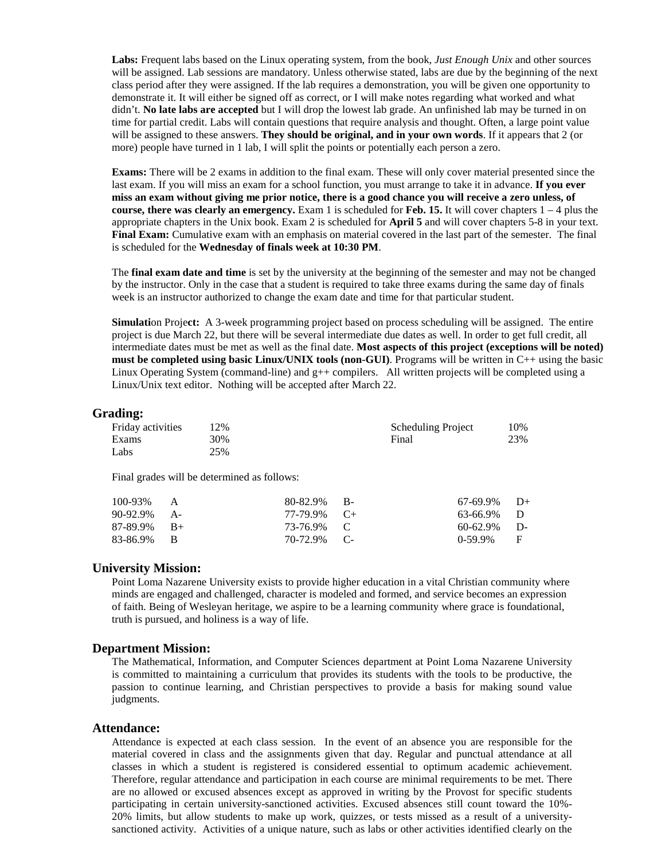**Labs:** Frequent labs based on the Linux operating system, from the book, *Just Enough Unix* and other sources will be assigned. Lab sessions are mandatory. Unless otherwise stated, labs are due by the beginning of the next class period after they were assigned. If the lab requires a demonstration, you will be given one opportunity to demonstrate it. It will either be signed off as correct, or I will make notes regarding what worked and what didn't. **No late labs are accepted** but I will drop the lowest lab grade. An unfinished lab may be turned in on time for partial credit. Labs will contain questions that require analysis and thought. Often, a large point value will be assigned to these answers. **They should be original, and in your own words**. If it appears that 2 (or more) people have turned in 1 lab, I will split the points or potentially each person a zero.

**Exams:** There will be 2 exams in addition to the final exam. These will only cover material presented since the last exam. If you will miss an exam for a school function, you must arrange to take it in advance. **If you ever miss an exam without giving me prior notice, there is a good chance you will receive a zero unless, of course, there was clearly an emergency.** Exam 1 is scheduled for **Feb. 15.** It will cover chapters 1 – 4 plus the appropriate chapters in the Unix book. Exam 2 is scheduled for **April 5** and will cover chapters 5-8 in your text. **Final Exam:** Cumulative exam with an emphasis on material covered in the last part of the semester. The final is scheduled for the **Wednesday of finals week at 10:30 PM**.

The **final exam date and time** is set by the university at the beginning of the semester and may not be changed by the instructor. Only in the case that a student is required to take three exams during the same day of finals week is an instructor authorized to change the exam date and time for that particular student.

**Simulati**on Proje**ct:** A 3-week programming project based on process scheduling will be assigned. The entire project is due March 22, but there will be several intermediate due dates as well. In order to get full credit, all intermediate dates must be met as well as the final date. **Most aspects of this project (exceptions will be noted) must be completed using basic Linux/UNIX tools (non-GUI)**. Programs will be written in C++ using the basic Linux Operating System (command-line) and g++ compilers.All written projects will be completed using a Linux/Unix text editor. Nothing will be accepted after March 22.

#### **Grading:**

| <b>Friday activities</b> | 12% | <b>Scheduling Project</b> | 10% |
|--------------------------|-----|---------------------------|-----|
| Exams                    | 30% | Final                     | 23% |
| Labs                     | 25% |                           |     |

Final grades will be determined as follows:

| $100-93\%$ A   | $80-82.9\%$ B- | $67-69.9\%$ D+ |  |
|----------------|----------------|----------------|--|
| $90-92.9\%$ A- | 77-79.9% C+    | 63-66.9% D     |  |
| $87-89.9\%$ B+ | 73-76.9% C     | $60-62.9\%$ D- |  |
| 83-86.9% B     | 70-72.9% C-    | $0-59.9\%$ F   |  |

#### **University Mission:**

Point Loma Nazarene University exists to provide higher education in a vital Christian community where minds are engaged and challenged, character is modeled and formed, and service becomes an expression of faith. Being of Wesleyan heritage, we aspire to be a learning community where grace is foundational, truth is pursued, and holiness is a way of life.

#### **Department Mission:**

The Mathematical, Information, and Computer Sciences department at Point Loma Nazarene University is committed to maintaining a curriculum that provides its students with the tools to be productive, the passion to continue learning, and Christian perspectives to provide a basis for making sound value judgments.

#### **Attendance:**

Attendance is expected at each class session. In the event of an absence you are responsible for the material covered in class and the assignments given that day. Regular and punctual attendance at all classes in which a student is registered is considered essential to optimum academic achievement. Therefore, regular attendance and participation in each course are minimal requirements to be met. There are no allowed or excused absences except as approved in writing by the Provost for specific students participating in certain university-sanctioned activities. Excused absences still count toward the 10%- 20% limits, but allow students to make up work, quizzes, or tests missed as a result of a universitysanctioned activity. Activities of a unique nature, such as labs or other activities identified clearly on the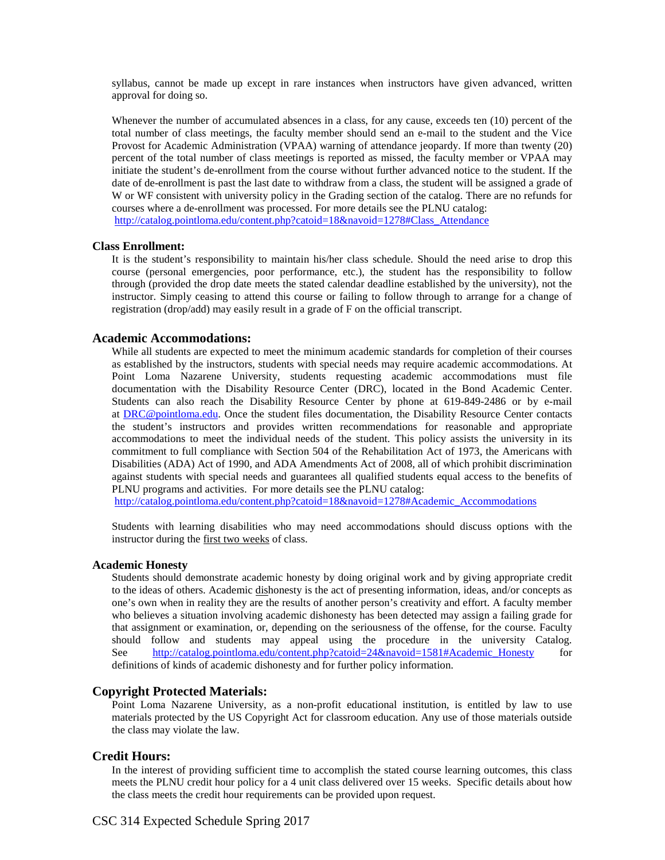syllabus, cannot be made up except in rare instances when instructors have given advanced, written approval for doing so.

Whenever the number of accumulated absences in a class, for any cause, exceeds ten (10) percent of the total number of class meetings, the faculty member should send an e-mail to the student and the Vice Provost for Academic Administration (VPAA) warning of attendance jeopardy. If more than twenty (20) percent of the total number of class meetings is reported as missed, the faculty member or VPAA may initiate the student's de-enrollment from the course without further advanced notice to the student. If the date of de-enrollment is past the last date to withdraw from a class, the student will be assigned a grade of W or WF consistent with university policy in the Grading section of the catalog. There are no refunds for courses where a de-enrollment was processed. For more details see the PLNU catalog: [http://catalog.pointloma.edu/content.php?catoid=18&navoid=1278#Class\\_Attendance](http://catalog.pointloma.edu/content.php?catoid=18&navoid=1278#Class_Attendance)

#### **Class Enrollment:**

It is the student's responsibility to maintain his/her class schedule. Should the need arise to drop this course (personal emergencies, poor performance, etc.), the student has the responsibility to follow through (provided the drop date meets the stated calendar deadline established by the university), not the instructor. Simply ceasing to attend this course or failing to follow through to arrange for a change of registration (drop/add) may easily result in a grade of F on the official transcript.

#### **Academic Accommodations:**

While all students are expected to meet the minimum academic standards for completion of their courses as established by the instructors, students with special needs may require academic accommodations. At Point Loma Nazarene University, students requesting academic accommodations must file documentation with the Disability Resource Center (DRC), located in the Bond Academic Center. Students can also reach the Disability Resource Center by phone at 619-849-2486 or by e-mail at [DRC@pointloma.edu.](mailto:DRC@pointloma.edu) Once the student files documentation, the Disability Resource Center contacts the student's instructors and provides written recommendations for reasonable and appropriate accommodations to meet the individual needs of the student. This policy assists the university in its commitment to full compliance with Section 504 of the Rehabilitation Act of 1973, the Americans with Disabilities (ADA) Act of 1990, and ADA Amendments Act of 2008, all of which prohibit discrimination against students with special needs and guarantees all qualified students equal access to the benefits of PLNU programs and activities. For more details see the PLNU catalog:

[http://catalog.pointloma.edu/content.php?catoid=18&navoid=1278#Academic\\_Accommodations](http://catalog.pointloma.edu/content.php?catoid=18&navoid=1278#Academic_Accommodations) 

Students with learning disabilities who may need accommodations should discuss options with the instructor during the first two weeks of class.

#### **Academic Honesty**

Students should demonstrate academic honesty by doing original work and by giving appropriate credit to the ideas of others. Academic dishonesty is the act of presenting information, ideas, and/or concepts as one's own when in reality they are the results of another person's creativity and effort. A faculty member who believes a situation involving academic dishonesty has been detected may assign a failing grade for that assignment or examination, or, depending on the seriousness of the offense, for the course. Faculty should follow and students may appeal using the procedure in the university Catalog. See [http://catalog.pointloma.edu/content.php?catoid=24&navoid=1581#Academic\\_Honesty](http://catalog.pointloma.edu/content.php?catoid=24&navoid=1581#Academic_Honesty) for definitions of kinds of academic dishonesty and for further policy information.

#### **Copyright Protected Materials:**

Point Loma Nazarene University, as a non-profit educational institution, is entitled by law to use materials protected by the US Copyright Act for classroom education. Any use of those materials outside the class may violate the law.

#### **Credit Hours:**

In the interest of providing sufficient time to accomplish the stated course learning outcomes, this class meets the PLNU credit hour policy for a 4 unit class delivered over 15 weeks. Specific details about how the class meets the credit hour requirements can be provided upon request.